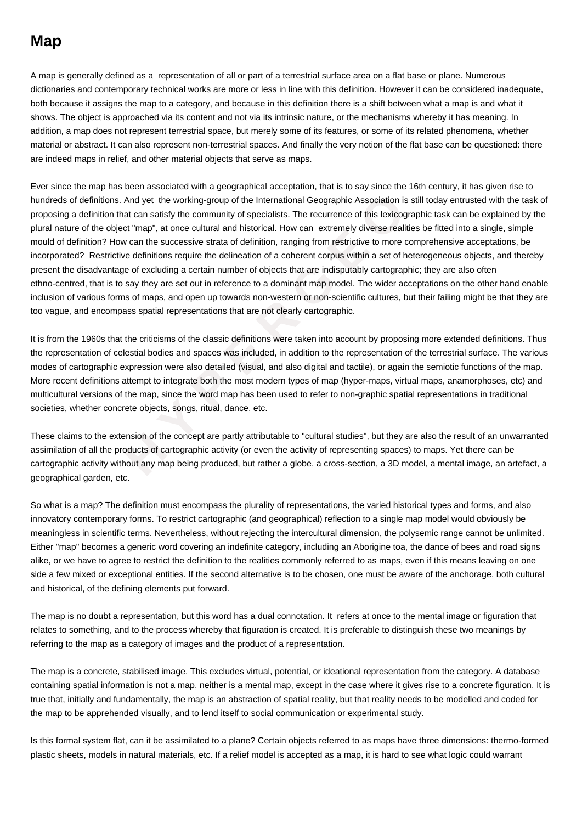## **Map**

A map is generally defined as a representation of all or part of a terrestrial surface area on a flat base or plane. Numerous dictionaries and contemporary technical works are more or less in line with this definition. However it can be considered inadequate, both because it assigns the map to a category, and because in this definition there is a shift between what a map is and what it shows. The object is approached via its content and not via its intrinsic nature, or the mechanisms whereby it has meaning. In addition, a map does not represent terrestrial space, but merely some of its features, or some of its related phenomena, whether material or abstract. It can also represent non-terrestrial spaces. And finally the very notion of the flat base can be questioned: there are indeed maps in relief, and other material objects that serve as maps.

itions. And yet the working-group of the International Geographic Association is still<br>tion that can satisfy the community of specialists. The recurrence of this lexicograp<br>e object "map", at once cultural and historical. Ever since the map has been associated with a geographical acceptation, that is to say since the 16th century, it has given rise to hundreds of definitions. And yet the working-group of the International Geographic Association is still today entrusted with the task of proposing a definition that can satisfy the community of specialists. The recurrence of this lexicographic task can be explained by the plural nature of the object "map", at once cultural and historical. How can extremely diverse realities be fitted into a single, simple mould of definition? How can the successive strata of definition, ranging from restrictive to more comprehensive acceptations, be incorporated? Restrictive definitions require the delineation of a coherent corpus within a set of heterogeneous objects, and thereby present the disadvantage of excluding a certain number of objects that are indisputably cartographic; they are also often ethno-centred, that is to say they are set out in reference to a dominant map model. The wider acceptations on the other hand enable inclusion of various forms of maps, and open up towards non-western or non-scientific cultures, but their failing might be that they are too vague, and encompass spatial representations that are not clearly cartographic.

It is from the 1960s that the criticisms of the classic definitions were taken into account by proposing more extended definitions. Thus the representation of celestial bodies and spaces was included, in addition to the representation of the terrestrial surface. The various modes of cartographic expression were also detailed (visual, and also digital and tactile), or again the semiotic functions of the map. More recent definitions attempt to integrate both the most modern types of map (hyper-maps, virtual maps, anamorphoses, etc) and multicultural versions of the map, since the word map has been used to refer to non-graphic spatial representations in traditional societies, whether concrete objects, songs, ritual, dance, etc.

These claims to the extension of the concept are partly attributable to "cultural studies", but they are also the result of an unwarranted assimilation of all the products of cartographic activity (or even the activity of representing spaces) to maps. Yet there can be cartographic activity without any map being produced, but rather a globe, a cross-section, a 3D model, a mental image, an artefact, a geographical garden, etc.

So what is a map? The definition must encompass the plurality of representations, the varied historical types and forms, and also innovatory contemporary forms. To restrict cartographic (and geographical) reflection to a single map model would obviously be meaningless in scientific terms. Nevertheless, without rejecting the intercultural dimension, the polysemic range cannot be unlimited. Either "map" becomes a generic word covering an indefinite category, including an Aborigine toa, the dance of bees and road signs alike, or we have to agree to restrict the definition to the realities commonly referred to as maps, even if this means leaving on one side a few mixed or exceptional entities. If the second alternative is to be chosen, one must be aware of the anchorage, both cultural and historical, of the defining elements put forward.

The map is no doubt a representation, but this word has a dual connotation. It refers at once to the mental image or figuration that relates to something, and to the process whereby that figuration is created. It is preferable to distinguish these two meanings by referring to the map as a category of images and the product of a representation.

The map is a concrete, stabilised image. This excludes virtual, potential, or ideational representation from the category. A database containing spatial information is not a map, neither is a mental map, except in the case where it gives rise to a concrete figuration. It is true that, initially and fundamentally, the map is an abstraction of spatial reality, but that reality needs to be modelled and coded for the map to be apprehended visually, and to lend itself to social communication or experimental study.

Is this formal system flat, can it be assimilated to a plane? Certain objects referred to as maps have three dimensions: thermo-formed plastic sheets, models in natural materials, etc. If a relief model is accepted as a map, it is hard to see what logic could warrant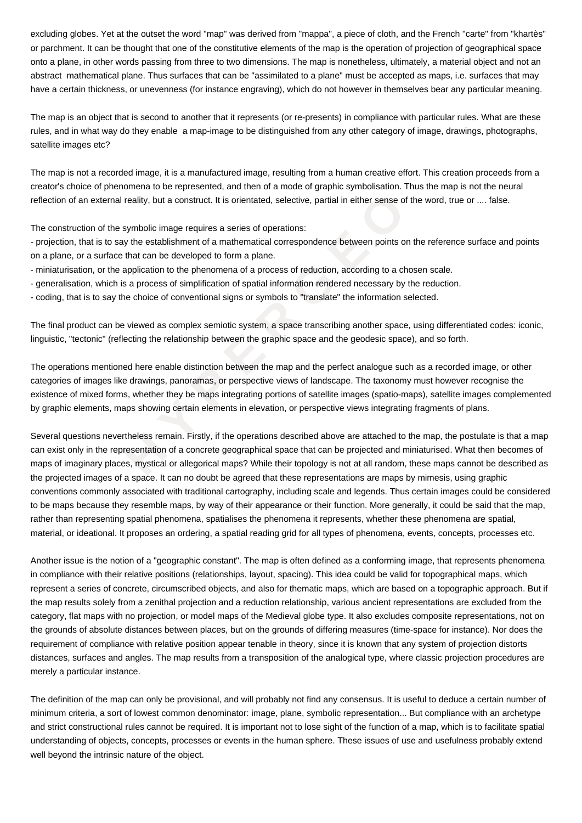excluding globes. Yet at the outset the word "map" was derived from "mappa", a piece of cloth, and the French "carte" from "khartès" or parchment. It can be thought that one of the constitutive elements of the map is the operation of projection of geographical space onto a plane, in other words passing from three to two dimensions. The map is nonetheless, ultimately, a material object and not an abstract mathematical plane. Thus surfaces that can be "assimilated to a plane" must be accepted as maps, i.e. surfaces that may have a certain thickness, or unevenness (for instance engraving), which do not however in themselves bear any particular meaning.

The map is an object that is second to another that it represents (or re-presents) in compliance with particular rules. What are these rules, and in what way do they enable a map-image to be distinguished from any other category of image, drawings, photographs, satellite images etc?

The map is not a recorded image, it is a manufactured image, resulting from a human creative effort. This creation proceeds from a creator's choice of phenomena to be represented, and then of a mode of graphic symbolisation. Thus the map is not the neural reflection of an external reality, but a construct. It is orientated, selective, partial in either sense of the word, true or .... false.

The construction of the symbolic image requires a series of operations:

- projection, that is to say the establishment of a mathematical correspondence between points on the reference surface and points on a plane, or a surface that can be developed to form a plane.

- miniaturisation, or the application to the phenomena of a process of reduction, according to a chosen scale.
- generalisation, which is a process of simplification of spatial information rendered necessary by the reduction.
- coding, that is to say the choice of conventional signs or symbols to "translate" the information selected.

The final product can be viewed as complex semiotic system, a space transcribing another space, using differentiated codes: iconic, linguistic, "tectonic" (reflecting the relationship between the graphic space and the geodesic space), and so forth.

The operations mentioned here enable distinction between the map and the perfect analogue such as a recorded image, or other categories of images like drawings, panoramas, or perspective views of landscape. The taxonomy must however recognise the existence of mixed forms, whether they be maps integrating portions of satellite images (spatio-maps), satellite images complemented by graphic elements, maps showing certain elements in elevation, or perspective views integrating fragments of plans.

xternal reality, but a construct. It is orientated, selective, partial in either sense of the<br>of the symbolic image requires a series of operations:<br>is to say the establishment of a mathematical correspondence between poin Several questions nevertheless remain. Firstly, if the operations described above are attached to the map, the postulate is that a map can exist only in the representation of a concrete geographical space that can be projected and miniaturised. What then becomes of maps of imaginary places, mystical or allegorical maps? While their topology is not at all random, these maps cannot be described as the projected images of a space. It can no doubt be agreed that these representations are maps by mimesis, using graphic conventions commonly associated with traditional cartography, including scale and legends. Thus certain images could be considered to be maps because they resemble maps, by way of their appearance or their function. More generally, it could be said that the map, rather than representing spatial phenomena, spatialises the phenomena it represents, whether these phenomena are spatial, material, or ideational. It proposes an ordering, a spatial reading grid for all types of phenomena, events, concepts, processes etc.

Another issue is the notion of a "geographic constant". The map is often defined as a conforming image, that represents phenomena in compliance with their relative positions (relationships, layout, spacing). This idea could be valid for topographical maps, which represent a series of concrete, circumscribed objects, and also for thematic maps, which are based on a topographic approach. But if the map results solely from a zenithal projection and a reduction relationship, various ancient representations are excluded from the category, flat maps with no projection, or model maps of the Medieval globe type. It also excludes composite representations, not on the grounds of absolute distances between places, but on the grounds of differing measures (time-space for instance). Nor does the requirement of compliance with relative position appear tenable in theory, since it is known that any system of projection distorts distances, surfaces and angles. The map results from a transposition of the analogical type, where classic projection procedures are merely a particular instance.

The definition of the map can only be provisional, and will probably not find any consensus. It is useful to deduce a certain number of minimum criteria, a sort of lowest common denominator: image, plane, symbolic representation... But compliance with an archetype and strict constructional rules cannot be required. It is important not to lose sight of the function of a map, which is to facilitate spatial understanding of objects, concepts, processes or events in the human sphere. These issues of use and usefulness probably extend well beyond the intrinsic nature of the object.